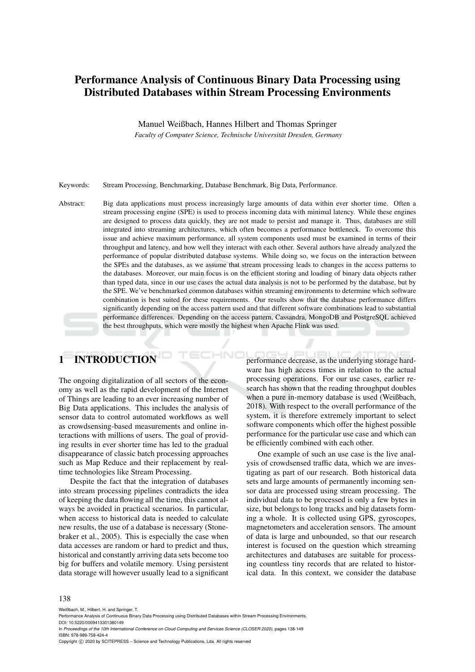# Performance Analysis of Continuous Binary Data Processing using Distributed Databases within Stream Processing Environments

Manuel Weißbach, Hannes Hilbert and Thomas Springer

*Faculty of Computer Science, Technische Universitat Dresden, Germany ¨*

Keywords: Stream Processing, Benchmarking, Database Benchmark, Big Data, Performance.

Abstract: Big data applications must process increasingly large amounts of data within ever shorter time. Often a stream processing engine (SPE) is used to process incoming data with minimal latency. While these engines are designed to process data quickly, they are not made to persist and manage it. Thus, databases are still integrated into streaming architectures, which often becomes a performance bottleneck. To overcome this issue and achieve maximum performance, all system components used must be examined in terms of their throughput and latency, and how well they interact with each other. Several authors have already analyzed the performance of popular distributed database systems. While doing so, we focus on the interaction between the SPEs and the databases, as we assume that stream processing leads to changes in the access patterns to the databases. Moreover, our main focus is on the efficient storing and loading of binary data objects rather than typed data, since in our use cases the actual data analysis is not to be performed by the database, but by the SPE. We've benchmarked common databases within streaming environments to determine which software combination is best suited for these requirements. Our results show that the database performance differs significantly depending on the access pattern used and that different software combinations lead to substantial performance differences. Depending on the access pattern, Cassandra, MongoDB and PostgreSQL achieved the best throughputs, which were mostly the highest when Apache Flink was used.

# 1 INTRODUCTION

The ongoing digitalization of all sectors of the economy as well as the rapid development of the Internet of Things are leading to an ever increasing number of Big Data applications. This includes the analysis of sensor data to control automated workflows as well as crowdsensing-based measurements and online interactions with millions of users. The goal of providing results in ever shorter time has led to the gradual disappearance of classic batch processing approaches such as Map Reduce and their replacement by realtime technologies like Stream Processing.

Despite the fact that the integration of databases into stream processing pipelines contradicts the idea of keeping the data flowing all the time, this cannot always be avoided in practical scenarios. In particular, when access to historical data is needed to calculate new results, the use of a database is necessary (Stonebraker et al., 2005). This is especially the case when data accesses are random or hard to predict and thus, historical and constantly arriving data sets become too big for buffers and volatile memory. Using persistent data storage will however usually lead to a significant performance decrease, as the underlying storage hardware has high access times in relation to the actual processing operations. For our use cases, earlier research has shown that the reading throughput doubles when a pure in-memory database is used (Weißbach, 2018). With respect to the overall performance of the system, it is therefore extremely important to select software components which offer the highest possible performance for the particular use case and which can be efficiently combined with each other.

One example of such an use case is the live analysis of crowdsensed traffic data, which we are investigating as part of our research. Both historical data sets and large amounts of permanently incoming sensor data are processed using stream processing. The individual data to be processed is only a few bytes in size, but belongs to long tracks and big datasets forming a whole. It is collected using GPS, gyroscopes, magnetometers and acceleration sensors. The amount of data is large and unbounded, so that our research interest is focused on the question which streaming architectures and databases are suitable for processing countless tiny records that are related to historical data. In this context, we consider the database

#### 138

Weißbach, M., Hilbert, H. and Springer, T.

Copyright (C) 2020 by SCITEPRESS - Science and Technology Publications, Lda. All rights reserved

Performance Analysis of Continuous Binary Data Processing using Distributed Databases within Stream Processing Environments. DOI: 10.5220/0009413301380149

In *Proceedings of the 10th International Conference on Cloud Computing and Services Science (CLOSER 2020)*, pages 138-149 ISBN: 978-989-758-424-4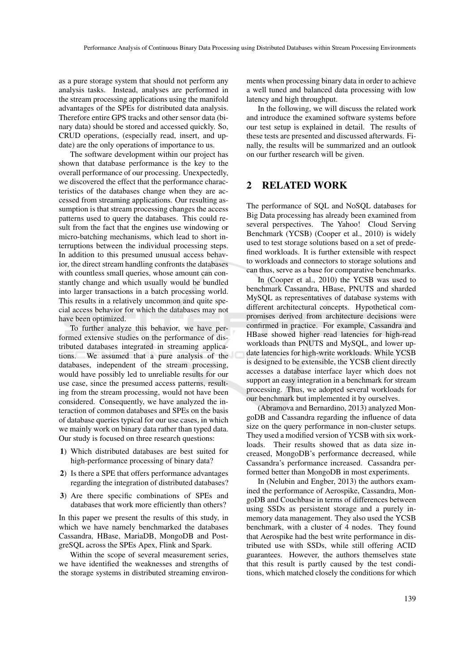as a pure storage system that should not perform any analysis tasks. Instead, analyses are performed in the stream processing applications using the manifold advantages of the SPEs for distributed data analysis. Therefore entire GPS tracks and other sensor data (binary data) should be stored and accessed quickly. So, CRUD operations, (especially read, insert, and update) are the only operations of importance to us.

The software development within our project has shown that database performance is the key to the overall performance of our processing. Unexpectedly, we discovered the effect that the performance characteristics of the databases change when they are accessed from streaming applications. Our resulting assumption is that stream processing changes the access patterns used to query the databases. This could result from the fact that the engines use windowing or micro-batching mechanisms, which lead to short interruptions between the individual processing steps. In addition to this presumed unusual access behavior, the direct stream handling confronts the databases with countless small queries, whose amount can constantly change and which usually would be bundled into larger transactions in a batch processing world. This results in a relatively uncommon and quite special access behavior for which the databases may not have been optimized.

To further analyze this behavior, we have performed extensive studies on the performance of distributed databases integrated in streaming applications. We assumed that a pure analysis of the databases, independent of the stream processing, would have possibly led to unreliable results for our use case, since the presumed access patterns, resulting from the stream processing, would not have been considered. Consequently, we have analyzed the interaction of common databases and SPEs on the basis of database queries typical for our use cases, in which we mainly work on binary data rather than typed data. Our study is focused on three research questions:

- 1) Which distributed databases are best suited for high-performance processing of binary data?
- 2) Is there a SPE that offers performance advantages regarding the integration of distributed databases?
- 3) Are there specific combinations of SPEs and databases that work more efficiently than others?

In this paper we present the results of this study, in which we have namely benchmarked the databases Cassandra, HBase, MariaDB, MongoDB and PostgreSQL across the SPEs Apex, Flink and Spark.

Within the scope of several measurement series, we have identified the weaknesses and strengths of the storage systems in distributed streaming environments when processing binary data in order to achieve a well tuned and balanced data processing with low latency and high throughput.

In the following, we will discuss the related work and introduce the examined software systems before our test setup is explained in detail. The results of these tests are presented and discussed afterwards. Finally, the results will be summarized and an outlook on our further research will be given.

# 2 RELATED WORK

The performance of SQL and NoSQL databases for Big Data processing has already been examined from several perspectives. The Yahoo! Cloud Serving Benchmark (YCSB) (Cooper et al., 2010) is widely used to test storage solutions based on a set of predefined workloads. It is further extensible with respect to workloads and connectors to storage solutions and can thus, serve as a base for comparative benchmarks.

In (Cooper et al., 2010) the YCSB was used to benchmark Cassandra, HBase, PNUTS and sharded MySQL as representatives of database systems with different architectural concepts. Hypothetical compromises derived from architecture decisions were confirmed in practice. For example, Cassandra and HBase showed higher read latencies for high-read workloads than PNUTS and MySQL, and lower update latencies for high-write workloads. While YCSB is designed to be extensible, the YCSB client directly accesses a database interface layer which does not support an easy integration in a benchmark for stream processing. Thus, we adopted several workloads for our benchmark but implemented it by ourselves.

(Abramova and Bernardino, 2013) analyzed MongoDB and Cassandra regarding the influence of data size on the query performance in non-cluster setups. They used a modified version of YCSB with six workloads. Their results showed that as data size increased, MongoDB's performance decreased, while Cassandra's performance increased. Cassandra performed better than MongoDB in most experiments.

In (Nelubin and Engber, 2013) the authors examined the performance of Aerospike, Cassandra, MongoDB and Couchbase in terms of differences between using SSDs as persistent storage and a purely inmemory data management. They also used the YCSB benchmark, with a cluster of 4 nodes. They found that Aerospike had the best write performance in distributed use with SSDs, while still offering ACID guarantees. However, the authors themselves state that this result is partly caused by the test conditions, which matched closely the conditions for which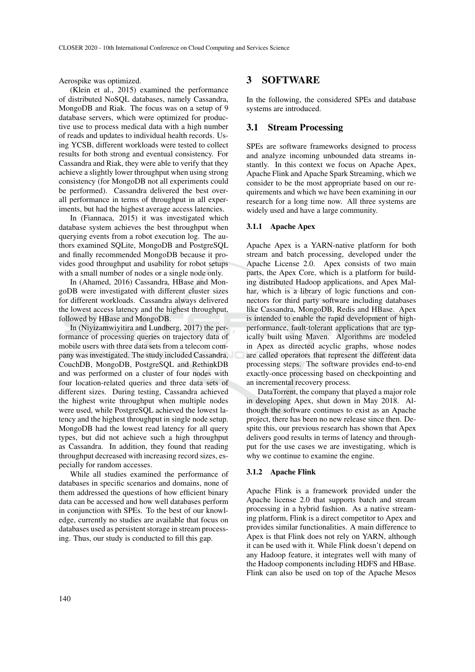Aerospike was optimized.

(Klein et al., 2015) examined the performance of distributed NoSQL databases, namely Cassandra, MongoDB and Riak. The focus was on a setup of 9 database servers, which were optimized for productive use to process medical data with a high number of reads and updates to individual health records. Using YCSB, different workloads were tested to collect results for both strong and eventual consistency. For Cassandra and Riak, they were able to verify that they achieve a slightly lower throughput when using strong consistency (for MongoDB not all experiments could be performed). Cassandra delivered the best overall performance in terms of throughput in all experiments, but had the highest average access latencies.

In (Fiannaca, 2015) it was investigated which database system achieves the best throughput when querying events from a robot execution log. The authors examined SQLite, MongoDB and PostgreSQL and finally recommended MongoDB because it provides good throughput and usability for robot setups with a small number of nodes or a single node only.

In (Ahamed, 2016) Cassandra, HBase and MongoDB were investigated with different cluster sizes for different workloads. Cassandra always delivered the lowest access latency and the highest throughput, followed by HBase and MongoDB.

In (Niyizamwiyitira and Lundberg, 2017) the performance of processing queries on trajectory data of mobile users with three data sets from a telecom company was investigated. The study included Cassandra, CouchDB, MongoDB, PostgreSQL and RethinkDB and was performed on a cluster of four nodes with four location-related queries and three data sets of different sizes. During testing, Cassandra achieved the highest write throughput when multiple nodes were used, while PostgreSQL achieved the lowest latency and the highest throughput in single node setup. MongoDB had the lowest read latency for all query types, but did not achieve such a high throughput as Cassandra. In addition, they found that reading throughput decreased with increasing record sizes, especially for random accesses.

While all studies examined the performance of databases in specific scenarios and domains, none of them addressed the questions of how efficient binary data can be accessed and how well databases perform in conjunction with SPEs. To the best of our knowledge, currently no studies are available that focus on databases used as persistent storage in stream processing. Thus, our study is conducted to fill this gap.

# 3 SOFTWARE

In the following, the considered SPEs and database systems are introduced.

# 3.1 Stream Processing

SPEs are software frameworks designed to process and analyze incoming unbounded data streams instantly. In this context we focus on Apache Apex, Apache Flink and Apache Spark Streaming, which we consider to be the most appropriate based on our requirements and which we have been examining in our research for a long time now. All three systems are widely used and have a large community.

### 3.1.1 Apache Apex

Apache Apex is a YARN-native platform for both stream and batch processing, developed under the Apache License 2.0. Apex consists of two main parts, the Apex Core, which is a platform for building distributed Hadoop applications, and Apex Malhar, which is a library of logic functions and connectors for third party software including databases like Cassandra, MongoDB, Redis and HBase. Apex is intended to enable the rapid development of highperformance, fault-tolerant applications that are typically built using Maven. Algorithms are modeled in Apex as directed acyclic graphs, whose nodes are called operators that represent the different data processing steps. The software provides end-to-end exactly-once processing based on checkpointing and an incremental recovery process.

DataTorrent, the company that played a major role in developing Apex, shut down in May 2018. Although the software continues to exist as an Apache project, there has been no new release since then. Despite this, our previous research has shown that Apex delivers good results in terms of latency and throughput for the use cases we are investigating, which is why we continue to examine the engine.

#### 3.1.2 Apache Flink

Apache Flink is a framework provided under the Apache license 2.0 that supports batch and stream processing in a hybrid fashion. As a native streaming platform, Flink is a direct competitor to Apex and provides similar functionalities. A main difference to Apex is that Flink does not rely on YARN, although it can be used with it. While Flink doesn't depend on any Hadoop feature, it integrates well with many of the Hadoop components including HDFS and HBase. Flink can also be used on top of the Apache Mesos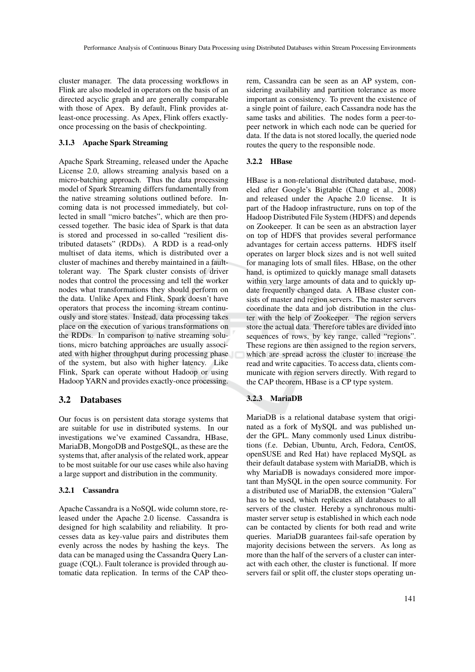cluster manager. The data processing workflows in Flink are also modeled in operators on the basis of an directed acyclic graph and are generally comparable with those of Apex. By default, Flink provides atleast-once processing. As Apex, Flink offers exactlyonce processing on the basis of checkpointing.

### 3.1.3 Apache Spark Streaming

Apache Spark Streaming, released under the Apache License 2.0, allows streaming analysis based on a micro-batching approach. Thus the data processing model of Spark Streaming differs fundamentally from the native streaming solutions outlined before. Incoming data is not processed immediately, but collected in small "micro batches", which are then processed together. The basic idea of Spark is that data is stored and processed in so-called "resilient distributed datasets" (RDDs). A RDD is a read-only multiset of data items, which is distributed over a cluster of machines and thereby maintained in a faulttolerant way. The Spark cluster consists of driver nodes that control the processing and tell the worker nodes what transformations they should perform on the data. Unlike Apex and Flink, Spark doesn't have operators that process the incoming stream continuously and store states. Instead, data processing takes place on the execution of various transformations on the RDDs. In comparison to native streaming solutions, micro batching approaches are usually associated with higher throughput during processing phase of the system, but also with higher latency. Like Flink, Spark can operate without Hadoop or using Hadoop YARN and provides exactly-once processing.

### 3.2 Databases

Our focus is on persistent data storage systems that are suitable for use in distributed systems. In our investigations we've examined Cassandra, HBase, MariaDB, MongoDB and PostgeSQL, as these are the systems that, after analysis of the related work, appear to be most suitable for our use cases while also having a large support and distribution in the community.

### 3.2.1 Cassandra

Apache Cassandra is a NoSQL wide column store, released under the Apache 2.0 license. Cassandra is designed for high scalability and reliability. It processes data as key-value pairs and distributes them evenly across the nodes by hashing the keys. The data can be managed using the Cassandra Query Language (CQL). Fault tolerance is provided through automatic data replication. In terms of the CAP theorem, Cassandra can be seen as an AP system, considering availability and partition tolerance as more important as consistency. To prevent the existence of a single point of failure, each Cassandra node has the same tasks and abilities. The nodes form a peer-topeer network in which each node can be queried for data. If the data is not stored locally, the queried node routes the query to the responsible node.

### 3.2.2 HBase

HBase is a non-relational distributed database, modeled after Google's Bigtable (Chang et al., 2008) and released under the Apache 2.0 license. It is part of the Hadoop infrastructure, runs on top of the Hadoop Distributed File System (HDFS) and depends on Zookeeper. It can be seen as an abstraction layer on top of HDFS that provides several performance advantages for certain access patterns. HDFS itself operates on larger block sizes and is not well suited for managing lots of small files. HBase, on the other hand, is optimized to quickly manage small datasets within very large amounts of data and to quickly update frequently changed data. A HBase cluster consists of master and region servers. The master servers coordinate the data and job distribution in the cluster with the help of Zookeeper. The region servers store the actual data. Therefore tables are divided into sequences of rows, by key range, called "regions". These regions are then assigned to the region servers, which are spread across the cluster to increase the read and write capacities. To access data, clients communicate with region servers directly. With regard to the CAP theorem, HBase is a CP type system.

### 3.2.3 MariaDB

MariaDB is a relational database system that originated as a fork of MySQL and was published under the GPL. Many commonly used Linux distributions (f.e. Debian, Ubuntu, Arch, Fedora, CentOS, openSUSE and Red Hat) have replaced MySQL as their default database system with MariaDB, which is why MariaDB is nowadays considered more important than MySQL in the open source community. For a distributed use of MariaDB, the extension "Galera" has to be used, which replicates all databases to all servers of the cluster. Hereby a synchronous multimaster server setup is established in which each node can be contacted by clients for both read and write queries. MariaDB guarantees fail-safe operation by majority decisions between the servers. As long as more than the half of the servers of a cluster can interact with each other, the cluster is functional. If more servers fail or split off, the cluster stops operating un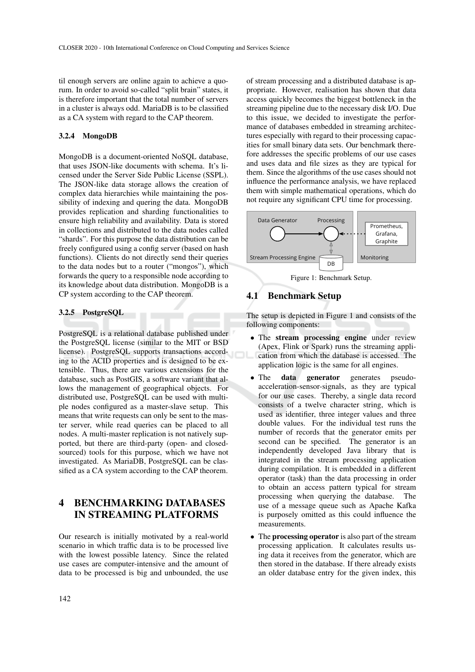til enough servers are online again to achieve a quorum. In order to avoid so-called "split brain" states, it is therefore important that the total number of servers in a cluster is always odd. MariaDB is to be classified as a CA system with regard to the CAP theorem.

### 3.2.4 MongoDB

MongoDB is a document-oriented NoSQL database, that uses JSON-like documents with schema. It's licensed under the Server Side Public License (SSPL). The JSON-like data storage allows the creation of complex data hierarchies while maintaining the possibility of indexing and quering the data. MongoDB provides replication and sharding functionalities to ensure high reliability and availability. Data is stored in collections and distributed to the data nodes called "shards". For this purpose the data distribution can be freely configured using a config server (based on hash functions). Clients do not directly send their queries to the data nodes but to a router ("mongos"), which forwards the query to a responsible node according to its knowledge about data distribution. MongoDB is a CP system according to the CAP theorem.

### 3.2.5 PostgreSQL

PostgreSQL is a relational database published under the PostgreSQL license (similar to the MIT or BSD license). PostgreSQL supports transactions according to the ACID properties and is designed to be extensible. Thus, there are various extensions for the database, such as PostGIS, a software variant that allows the management of geographical objects. For distributed use, PostgreSQL can be used with multiple nodes configured as a master-slave setup. This means that write requests can only be sent to the master server, while read queries can be placed to all nodes. A multi-master replication is not natively supported, but there are third-party (open- and closedsourced) tools for this purpose, which we have not investigated. As MariaDB, PostgreSQL can be classified as a CA system according to the CAP theorem.

# 4 BENCHMARKING DATABASES IN STREAMING PLATFORMS

Our research is initially motivated by a real-world scenario in which traffic data is to be processed live with the lowest possible latency. Since the related use cases are computer-intensive and the amount of data to be processed is big and unbounded, the use

of stream processing and a distributed database is appropriate. However, realisation has shown that data access quickly becomes the biggest bottleneck in the streaming pipeline due to the necessary disk I/O. Due to this issue, we decided to investigate the performance of databases embedded in streaming architectures especially with regard to their processing capacities for small binary data sets. Our benchmark therefore addresses the specific problems of our use cases and uses data and file sizes as they are typical for them. Since the algorithms of the use cases should not influence the performance analysis, we have replaced them with simple mathematical operations, which do not require any significant CPU time for processing.



Figure 1: Benchmark Setup.

# 4.1 Benchmark Setup

The setup is depicted in Figure 1 and consists of the following components:

- The stream processing engine under review (Apex, Flink or Spark) runs the streaming application from which the database is accessed. The application logic is the same for all engines.
- The data generator generates pseudoacceleration-sensor-signals, as they are typical for our use cases. Thereby, a single data record consists of a twelve character string, which is used as identifier, three integer values and three double values. For the individual test runs the number of records that the generator emits per second can be specified. The generator is an independently developed Java library that is integrated in the stream processing application during compilation. It is embedded in a different operator (task) than the data processing in order to obtain an access pattern typical for stream processing when querying the database. The use of a message queue such as Apache Kafka is purposely omitted as this could influence the measurements.
- The processing operator is also part of the stream processing application. It calculates results using data it receives from the generator, which are then stored in the database. If there already exists an older database entry for the given index, this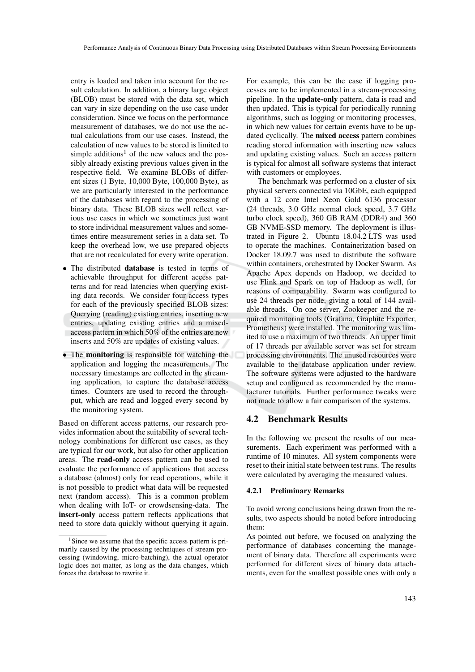entry is loaded and taken into account for the result calculation. In addition, a binary large object (BLOB) must be stored with the data set, which can vary in size depending on the use case under consideration. Since we focus on the performance measurement of databases, we do not use the actual calculations from our use cases. Instead, the calculation of new values to be stored is limited to simple additions<sup>1</sup> of the new values and the possibly already existing previous values given in the respective field. We examine BLOBs of different sizes (1 Byte, 10,000 Byte, 100,000 Byte), as we are particularly interested in the performance of the databases with regard to the processing of binary data. These BLOB sizes well reflect various use cases in which we sometimes just want to store individual measurement values and sometimes entire measurement series in a data set. To keep the overhead low, we use prepared objects that are not recalculated for every write operation.

- The distributed **database** is tested in terms of achievable throughput for different access patterns and for read latencies when querying existing data records. We consider four access types for each of the previously specified BLOB sizes: Querying (reading) existing entries, inserting new entries, updating existing entries and a mixedaccess pattern in which 50% of the entries are new inserts and 50% are updates of existing values.
- The monitoring is responsible for watching the application and logging the measurements. The necessary timestamps are collected in the streaming application, to capture the database access times. Counters are used to record the throughput, which are read and logged every second by the monitoring system.

Based on different access patterns, our research provides information about the suitability of several technology combinations for different use cases, as they are typical for our work, but also for other application areas. The read-only access pattern can be used to evaluate the performance of applications that access a database (almost) only for read operations, while it is not possible to predict what data will be requested next (random access). This is a common problem when dealing with IoT- or crowdsensing-data. The insert-only access pattern reflects applications that need to store data quickly without querying it again.

For example, this can be the case if logging processes are to be implemented in a stream-processing pipeline. In the update-only pattern, data is read and then updated. This is typical for periodically running algorithms, such as logging or monitoring processes, in which new values for certain events have to be updated cyclically. The mixed access pattern combines reading stored information with inserting new values and updating existing values. Such an access pattern is typical for almost all software systems that interact with customers or employees.

The benchmark was performed on a cluster of six physical servers connected via 10GbE, each equipped with a 12 core Intel Xeon Gold 6136 processor (24 threads, 3.0 GHz normal clock speed, 3.7 GHz turbo clock speed), 360 GB RAM (DDR4) and 360 GB NVME-SSD memory. The deployment is illustrated in Figure 2. Ubuntu 18.04.2 LTS was used to operate the machines. Containerization based on Docker 18.09.7 was used to distribute the software within containers, orchestrated by Docker Swarm. As Apache Apex depends on Hadoop, we decided to use Flink and Spark on top of Hadoop as well, for reasons of comparability. Swarm was configured to use 24 threads per node, giving a total of 144 available threads. On one server, Zookeeper and the required monitoring tools (Grafana, Graphite Exporter, Prometheus) were installed. The monitoring was limited to use a maximum of two threads. An upper limit of 17 threads per available server was set for stream processing environments. The unused resources were available to the database application under review. The software systems were adjusted to the hardware setup and configured as recommended by the manufacturer tutorials. Further performance tweaks were not made to allow a fair comparison of the systems.

# 4.2 Benchmark Results

In the following we present the results of our measurements. Each experiment was performed with a runtime of 10 minutes. All system components were reset to their initial state between test runs. The results were calculated by averaging the measured values.

### 4.2.1 Preliminary Remarks

To avoid wrong conclusions being drawn from the results, two aspects should be noted before introducing them:

<sup>&</sup>lt;sup>1</sup>Since we assume that the specific access pattern is primarily caused by the processing techniques of stream processing (windowing, micro-batching), the actual operator logic does not matter, as long as the data changes, which forces the database to rewrite it.

As pointed out before, we focused on analyzing the performance of databases concerning the management of binary data. Therefore all experiments were performed for different sizes of binary data attachments, even for the smallest possible ones with only a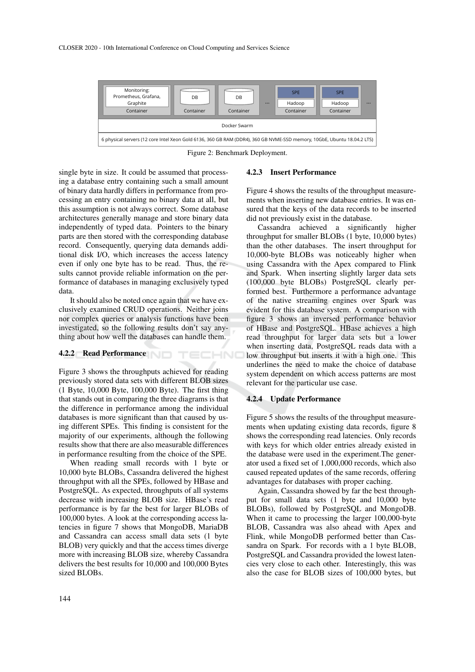

Figure 2: Benchmark Deployment.

TECHNO

single byte in size. It could be assumed that processing a database entry containing such a small amount of binary data hardly differs in performance from processing an entry containing no binary data at all, but this assumption is not always correct. Some database architectures generally manage and store binary data independently of typed data. Pointers to the binary parts are then stored with the corresponding database record. Consequently, querying data demands additional disk I/O, which increases the access latency even if only one byte has to be read. Thus, the results cannot provide reliable information on the performance of databases in managing exclusively typed data.

It should also be noted once again that we have exclusively examined CRUD operations. Neither joins nor complex queries or analysis functions have been investigated, so the following results don't say anything about how well the databases can handle them.

### 4.2.2 Read Performance

Figure 3 shows the throughputs achieved for reading previously stored data sets with different BLOB sizes (1 Byte, 10,000 Byte, 100,000 Byte). The first thing that stands out in comparing the three diagrams is that the difference in performance among the individual databases is more significant than that caused by using different SPEs. This finding is consistent for the majority of our experiments, although the following results show that there are also measurable differences in performance resulting from the choice of the SPE.

When reading small records with 1 byte or 10,000 byte BLOBs, Cassandra delivered the highest throughput with all the SPEs, followed by HBase and PostgreSQL. As expected, throughputs of all systems decrease with increasing BLOB size. HBase's read performance is by far the best for larger BLOBs of 100,000 bytes. A look at the corresponding access latencies in figure 7 shows that MongoDB, MariaDB and Cassandra can access small data sets (1 byte BLOB) very quickly and that the access times diverge more with increasing BLOB size, whereby Cassandra delivers the best results for 10,000 and 100,000 Bytes sized BLOBs.

### 4.2.3 Insert Performance

Figure 4 shows the results of the throughput measurements when inserting new database entries. It was ensured that the keys of the data records to be inserted did not previously exist in the database.

Cassandra achieved a significantly higher throughput for smaller BLOBs (1 byte, 10,000 bytes) than the other databases. The insert throughput for 10,000-byte BLOBs was noticeably higher when using Cassandra with the Apex compared to Flink and Spark. When inserting slightly larger data sets (100,000 byte BLOBs) PostgreSQL clearly performed best. Furthermore a performance advantage of the native streaming engines over Spark was evident for this database system. A comparison with figure 3 shows an inversed performance behavior of HBase and PostgreSQL. HBase achieves a high read throughput for larger data sets but a lower when inserting data, PostgreSQL reads data with a low throughput but inserts it with a high one. This underlines the need to make the choice of database system dependent on which access patterns are most relevant for the particular use case.

### 4.2.4 Update Performance

Figure 5 shows the results of the throughput measurements when updating existing data records, figure 8 shows the corresponding read latencies. Only records with keys for which older entries already existed in the database were used in the experiment.The generator used a fixed set of 1,000,000 records, which also caused repeated updates of the same records, offering advantages for databases with proper caching.

Again, Cassandra showed by far the best throughput for small data sets (1 byte and 10,000 byte BLOBs), followed by PostgreSQL and MongoDB. When it came to processing the larger 100,000-byte BLOB, Cassandra was also ahead with Apex and Flink, while MongoDB performed better than Cassandra on Spark. For records with a 1 byte BLOB, PostgreSQL and Cassandra provided the lowest latencies very close to each other. Interestingly, this was also the case for BLOB sizes of 100,000 bytes, but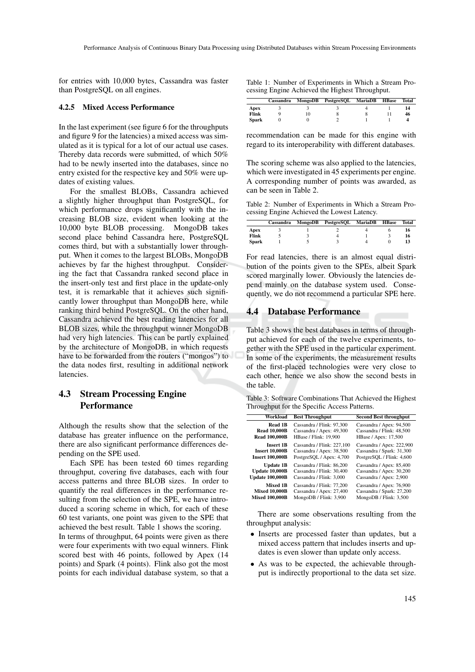for entries with 10,000 bytes, Cassandra was faster than PostgreSQL on all engines.

#### 4.2.5 Mixed Access Performance

In the last experiment (see figure 6 for the throughputs and figure 9 for the latencies) a mixed access was simulated as it is typical for a lot of our actual use cases. Thereby data records were submitted, of which 50% had to be newly inserted into the databases, since no entry existed for the respective key and 50% were updates of existing values.

For the smallest BLOBs, Cassandra achieved a slightly higher throughput than PostgreSQL, for which performance drops significantly with the increasing BLOB size, evident when looking at the 10,000 byte BLOB processing. MongoDB takes second place behind Cassandra here, PostgreSQL comes third, but with a substantially lower throughput. When it comes to the largest BLOBs, MongoDB achieves by far the highest throughput. Considering the fact that Cassandra ranked second place in the insert-only test and first place in the update-only test, it is remarkable that it achieves such significantly lower throughput than MongoDB here, while ranking third behind PostgreSQL. On the other hand, Cassandra achieved the best reading latencies for all BLOB sizes, while the throughput winner MongoDB had very high latencies. This can be partly explained by the architecture of MongoDB, in which requests have to be forwarded from the routers ("mongos") to the data nodes first, resulting in additional network latencies.

# 4.3 Stream Processing Engine Performance

Although the results show that the selection of the database has greater influence on the performance, there are also significant performance differences depending on the SPE used.

Each SPE has been tested 60 times regarding throughput, covering five databases, each with four access patterns and three BLOB sizes. In order to quantify the real differences in the performance resulting from the selection of the SPE, we have introduced a scoring scheme in which, for each of these 60 test variants, one point was given to the SPE that achieved the best result. Table 1 shows the scoring.

In terms of throughput, 64 points were given as there were four experiments with two equal winners. Flink scored best with 46 points, followed by Apex (14 points) and Spark (4 points). Flink also got the most points for each individual database system, so that a Table 1: Number of Experiments in Which a Stream Processing Engine Achieved the Highest Throughput.

|              |    | Cassandra MongoDB PostgreSQL MariaDB HBase |  | Total |
|--------------|----|--------------------------------------------|--|-------|
| Apex         |    |                                            |  |       |
| Flink        | 10 |                                            |  | 46    |
| <b>Spark</b> |    |                                            |  |       |

recommendation can be made for this engine with regard to its interoperability with different databases.

The scoring scheme was also applied to the latencies, which were investigated in 45 experiments per engine. A corresponding number of points was awarded, as can be seen in Table 2.

Table 2: Number of Experiments in Which a Stream Processing Engine Achieved the Lowest Latency.

|              |  | Cassandra MongoDB PostgreSQL MariaDB HBase |  | Total |
|--------------|--|--------------------------------------------|--|-------|
| Apex         |  |                                            |  | 16    |
| Flink        |  |                                            |  | 16    |
| <b>Spark</b> |  |                                            |  |       |

For read latencies, there is an almost equal distribution of the points given to the SPEs, albeit Spark scored marginally lower. Obviously the latencies depend mainly on the database system used. Consequently, we do not recommend a particular SPE here.

# 4.4 Database Performance

Table 3 shows the best databases in terms of throughput achieved for each of the twelve experiments, together with the SPE used in the particular experiment. In some of the experiments, the measurement results of the first-placed technologies were very close to each other, hence we also show the second bests in the table.

Table 3: Software Combinations That Achieved the Highest Throughput for the Specific Access Patterns.

| Workload               | <b>Best Throughput</b>     | <b>Second Best throughput</b> |
|------------------------|----------------------------|-------------------------------|
| Read 1B                | Cassandra / Flink: 97.300  | Cassandra / Apex: 94,500      |
| <b>Read 10,000B</b>    | Cassandra / Apex: 49,300   | Cassandra / Flink: 48,500     |
| <b>Read 100,000B</b>   | HBase / Flink: 19,900      | HBase / Apex: 17,500          |
| <b>Insert 1B</b>       | Cassandra / Flink: 227,100 | Cassandra / Apex: 222,900     |
| <b>Insert 10,000B</b>  | Cassandra / Apex: 38,500   | Cassandra / Spark: 31,300     |
| <b>Insert 100,000B</b> | PostgreSQL / Apex: 4,700   | PostgreSQL / Flink: 4,600     |
| <b>Update 1B</b>       | Cassandra / Flink: 86,200  | Cassandra / Apex: 85,400      |
| <b>Update 10,000B</b>  | Cassandra / Flink: 30,400  | Cassandra / Apex: 30,200      |
| <b>Update 100,000B</b> | Cassandra / Flink: 3,000   | Cassandra / Apex: 2,900       |
| <b>Mixed 1B</b>        | Cassandra / Flink: 77,200  | Cassandra / Apex: 76,900      |
| <b>Mixed 10,000B</b>   | Cassandra / Apex: 27,400   | Cassandra / Spark: 27,200     |
| <b>Mixed 100,000B</b>  | MongoDB / Flink: 3,900     | MongoDB / Flink: 3,500        |

There are some observations resulting from the throughput analysis:

- Inserts are processed faster than updates, but a mixed access pattern that includes inserts and updates is even slower than update only access.
- As was to be expected, the achievable throughput is indirectly proportional to the data set size.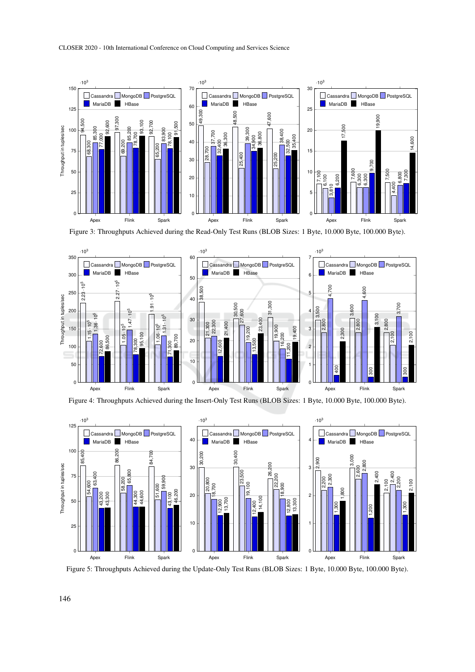

Figure 3: Throughputs Achieved during the Read-Only Test Runs (BLOB Sizes: 1 Byte, 10.000 Byte, 100.000 Byte).



Figure 4: Throughputs Achieved during the Insert-Only Test Runs (BLOB Sizes: 1 Byte, 10.000 Byte, 100.000 Byte).



Figure 5: Throughputs Achieved during the Update-Only Test Runs (BLOB Sizes: 1 Byte, 10.000 Byte, 100.000 Byte).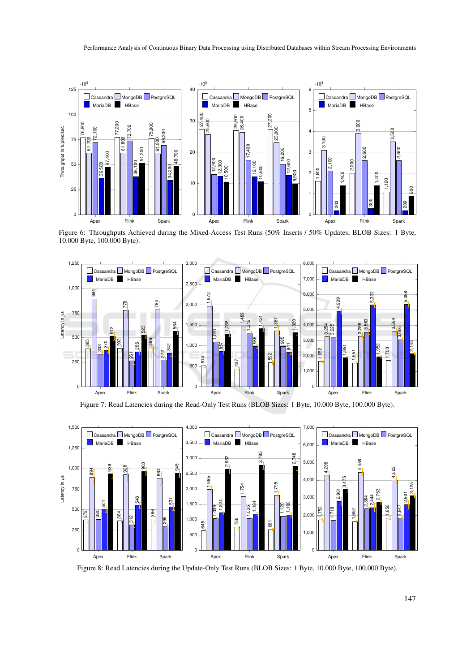

Figure 6: Throughputs Achieved during the Mixed-Access Test Runs (50% Inserts / 50% Updates, BLOB Sizes: 1 Byte, 10.000 Byte, 100.000 Byte).



Figure 7: Read Latencies during the Read-Only Test Runs (BLOB Sizes: 1 Byte, 10.000 Byte, 100.000 Byte).



Figure 8: Read Latencies during the Update-Only Test Runs (BLOB Sizes: 1 Byte, 10.000 Byte, 100.000 Byte).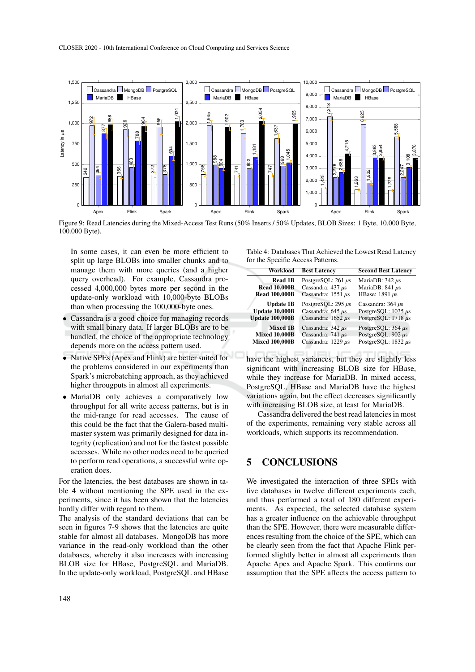

Figure 9: Read Latencies during the Mixed-Access Test Runs (50% Inserts / 50% Updates, BLOB Sizes: 1 Byte, 10.000 Byte, 100.000 Byte).

In some cases, it can even be more efficient to split up large BLOBs into smaller chunks and to manage them with more queries (and a higher query overhead). For example, Cassandra processed 4,000,000 bytes more per second in the update-only workload with 10,000-byte BLOBs than when processing the 100,000-byte ones.

- Cassandra is a good choice for managing records with small binary data. If larger BLOBs are to be handled, the choice of the appropriate technology depends more on the access pattern used.
- Native SPEs (Apex and Flink) are better suited for the problems considered in our experiments than Spark's microbatching approach, as they achieved higher througputs in almost all experiments.
- MariaDB only achieves a comparatively low throughput for all write access patterns, but is in the mid-range for read accesses. The cause of this could be the fact that the Galera-based multimaster system was primarily designed for data integrity (replication) and not for the fastest possible accesses. While no other nodes need to be queried to perform read operations, a successful write operation does.

For the latencies, the best databases are shown in table 4 without mentioning the SPE used in the experiments, since it has been shown that the latencies hardly differ with regard to them.

The analysis of the standard deviations that can be seen in figures 7-9 shows that the latencies are quite stable for almost all databases. MongoDB has more variance in the read-only workload than the other databases, whereby it also increases with increasing BLOB size for HBase, PostgreSQL and MariaDB. In the update-only workload, PostgreSQL and HBase

Table 4: Databases That Achieved the Lowest Read Latency for the Specific Access Patterns.

| Workload                                      | <b>Best Latency</b>                               | <b>Second Best Latency</b>                         |  |
|-----------------------------------------------|---------------------------------------------------|----------------------------------------------------|--|
| Read 1B                                       | PostgreSOL: $261 \mu s$                           | MariaDB: $342 \mu s$                               |  |
| <b>Read 10,000B</b><br><b>Read 100,000B</b>   | Cassandra: $437 \mu s$<br>Cassandra: $1551 \mu s$ | MariaDB: $841 \mu s$<br>HBase: 1891 µs             |  |
| <b>Update 1B</b><br><b>Update 10,000B</b>     | PostgreSOL: 295 µs<br>Cassandra: $645 \mu s$      | Cassandra: $364 \mu s$<br>PostgreSOL: $1035 \mu s$ |  |
| <b>Update 100,000B</b>                        | Cassandra: $1652 \mu s$                           | PostgreSOL: $1718 \mu s$                           |  |
| <b>Mixed 1B</b>                               | Cassandra: $342 \mu s$                            | PostgreSOL: 364 µs                                 |  |
| <b>Mixed 10,000B</b><br><b>Mixed 100,000B</b> | Cassandra: $741 \mu s$<br>Cassandra: $1229 \mu s$ | PostgreSOL: 902 µs<br>PostgreSQL: $1832 \mu s$     |  |

have the highest variances, but they are slightly less significant with increasing BLOB size for HBase, while they increase for MariaDB. In mixed access, PostgreSQL, HBase and MariaDB have the highest variations again, but the effect decreases significantly with increasing BLOB size, at least for MariaDB.

Cassandra delivered the best read latencies in most of the experiments, remaining very stable across all workloads, which supports its recommendation.

# 5 CONCLUSIONS

We investigated the interaction of three SPEs with five databases in twelve different experiments each, and thus performed a total of 180 different experiments. As expected, the selected database system has a greater influence on the achievable throughput than the SPE. However, there were measurable differences resulting from the choice of the SPE, which can be clearly seen from the fact that Apache Flink performed slightly better in almost all experiments than Apache Apex and Apache Spark. This confirms our assumption that the SPE affects the access pattern to